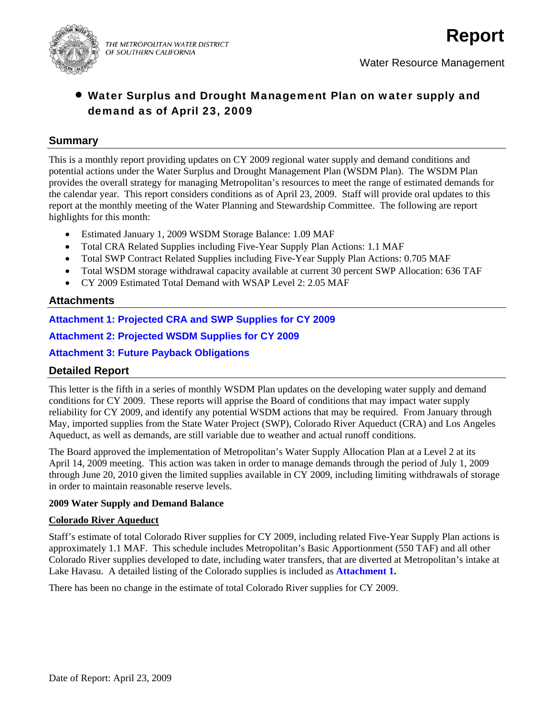

# • Water Surplus and Drought Management Plan on water supply and demand as of April 23, 2009

### **Summary**

This is a monthly report providing updates on CY 2009 regional water supply and demand conditions and potential actions under the Water Surplus and Drought Management Plan (WSDM Plan). The WSDM Plan provides the overall strategy for managing Metropolitan's resources to meet the range of estimated demands for the calendar year. This report considers conditions as of April 23, 2009. Staff will provide oral updates to this report at the monthly meeting of the Water Planning and Stewardship Committee. The following are report highlights for this month:

- Estimated January 1, 2009 WSDM Storage Balance: 1.09 MAF
- Total CRA Related Supplies including Five-Year Supply Plan Actions: 1.1 MAF
- Total SWP Contract Related Supplies including Five-Year Supply Plan Actions: 0.705 MAF
- Total WSDM storage withdrawal capacity available at current 30 percent SWP Allocation: 636 TAF
- CY 2009 Estimated Total Demand with WSAP Level 2: 2.05 MAF

### **Attachments**

**Attachment 1: Projected CRA and SWP Supplies for CY 2009** 

**Attachment 2: Projected WSDM Supplies for CY 2009** 

**Attachment 3: Future Payback Obligations** 

## **Detailed Report**

This letter is the fifth in a series of monthly WSDM Plan updates on the developing water supply and demand conditions for CY 2009. These reports will apprise the Board of conditions that may impact water supply reliability for CY 2009, and identify any potential WSDM actions that may be required. From January through May, imported supplies from the State Water Project (SWP), Colorado River Aqueduct (CRA) and Los Angeles Aqueduct, as well as demands, are still variable due to weather and actual runoff conditions.

The Board approved the implementation of Metropolitan's Water Supply Allocation Plan at a Level 2 at its April 14, 2009 meeting. This action was taken in order to manage demands through the period of July 1, 2009 through June 20, 2010 given the limited supplies available in CY 2009, including limiting withdrawals of storage in order to maintain reasonable reserve levels.

#### **2009 Water Supply and Demand Balance**

#### **Colorado River Aqueduct**

Staff's estimate of total Colorado River supplies for CY 2009, including related Five-Year Supply Plan actions is approximately 1.1 MAF. This schedule includes Metropolitan's Basic Apportionment (550 TAF) and all other Colorado River supplies developed to date, including water transfers, that are diverted at Metropolitan's intake at Lake Havasu. A detailed listing of the Colorado supplies is included as **Attachment 1.**

There has been no change in the estimate of total Colorado River supplies for CY 2009.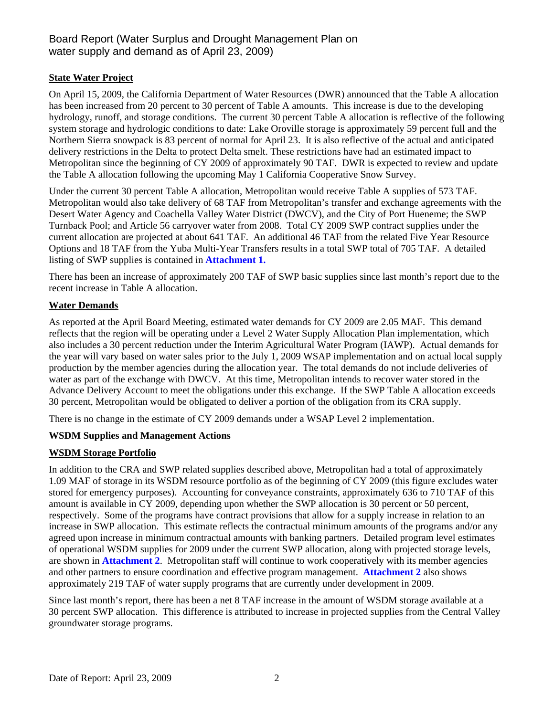## Board Report (Water Surplus and Drought Management Plan on water supply and demand as of April 23, 2009)

### **State Water Project**

On April 15, 2009, the California Department of Water Resources (DWR) announced that the Table A allocation has been increased from 20 percent to 30 percent of Table A amounts. This increase is due to the developing hydrology, runoff, and storage conditions. The current 30 percent Table A allocation is reflective of the following system storage and hydrologic conditions to date: Lake Oroville storage is approximately 59 percent full and the Northern Sierra snowpack is 83 percent of normal for April 23. It is also reflective of the actual and anticipated delivery restrictions in the Delta to protect Delta smelt. These restrictions have had an estimated impact to Metropolitan since the beginning of CY 2009 of approximately 90 TAF. DWR is expected to review and update the Table A allocation following the upcoming May 1 California Cooperative Snow Survey.

Under the current 30 percent Table A allocation, Metropolitan would receive Table A supplies of 573 TAF. Metropolitan would also take delivery of 68 TAF from Metropolitan's transfer and exchange agreements with the Desert Water Agency and Coachella Valley Water District (DWCV), and the City of Port Hueneme; the SWP Turnback Pool; and Article 56 carryover water from 2008. Total CY 2009 SWP contract supplies under the current allocation are projected at about 641 TAF. An additional 46 TAF from the related Five Year Resource Options and 18 TAF from the Yuba Multi-Year Transfers results in a total SWP total of 705 TAF. A detailed listing of SWP supplies is contained in **Attachment 1.**

There has been an increase of approximately 200 TAF of SWP basic supplies since last month's report due to the recent increase in Table A allocation.

### **Water Demands**

As reported at the April Board Meeting, estimated water demands for CY 2009 are 2.05 MAF. This demand reflects that the region will be operating under a Level 2 Water Supply Allocation Plan implementation, which also includes a 30 percent reduction under the Interim Agricultural Water Program (IAWP). Actual demands for the year will vary based on water sales prior to the July 1, 2009 WSAP implementation and on actual local supply production by the member agencies during the allocation year. The total demands do not include deliveries of water as part of the exchange with DWCV. At this time, Metropolitan intends to recover water stored in the Advance Delivery Account to meet the obligations under this exchange. If the SWP Table A allocation exceeds 30 percent, Metropolitan would be obligated to deliver a portion of the obligation from its CRA supply.

There is no change in the estimate of CY 2009 demands under a WSAP Level 2 implementation.

### **WSDM Supplies and Management Actions**

### **WSDM Storage Portfolio**

In addition to the CRA and SWP related supplies described above, Metropolitan had a total of approximately 1.09 MAF of storage in its WSDM resource portfolio as of the beginning of CY 2009 (this figure excludes water stored for emergency purposes). Accounting for conveyance constraints, approximately 636 to 710 TAF of this amount is available in CY 2009, depending upon whether the SWP allocation is 30 percent or 50 percent, respectively. Some of the programs have contract provisions that allow for a supply increase in relation to an increase in SWP allocation. This estimate reflects the contractual minimum amounts of the programs and/or any agreed upon increase in minimum contractual amounts with banking partners. Detailed program level estimates of operational WSDM supplies for 2009 under the current SWP allocation, along with projected storage levels, are shown in **Attachment 2**. Metropolitan staff will continue to work cooperatively with its member agencies and other partners to ensure coordination and effective program management. **Attachment 2** also shows approximately 219 TAF of water supply programs that are currently under development in 2009.

Since last month's report, there has been a net 8 TAF increase in the amount of WSDM storage available at a 30 percent SWP allocation. This difference is attributed to increase in projected supplies from the Central Valley groundwater storage programs.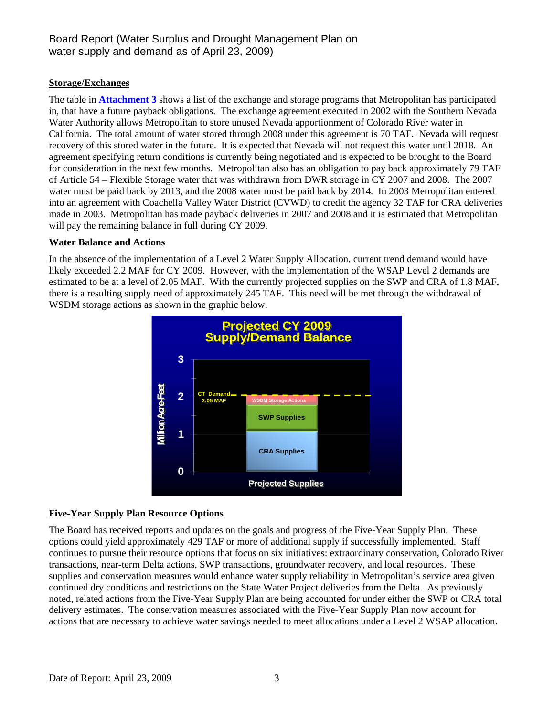### **Storage/Exchanges**

The table in **Attachment 3** shows a list of the exchange and storage programs that Metropolitan has participated in, that have a future payback obligations. The exchange agreement executed in 2002 with the Southern Nevada Water Authority allows Metropolitan to store unused Nevada apportionment of Colorado River water in California. The total amount of water stored through 2008 under this agreement is 70 TAF. Nevada will request recovery of this stored water in the future. It is expected that Nevada will not request this water until 2018. An agreement specifying return conditions is currently being negotiated and is expected to be brought to the Board for consideration in the next few months. Metropolitan also has an obligation to pay back approximately 79 TAF of Article 54 – Flexible Storage water that was withdrawn from DWR storage in CY 2007 and 2008. The 2007 water must be paid back by 2013, and the 2008 water must be paid back by 2014. In 2003 Metropolitan entered into an agreement with Coachella Valley Water District (CVWD) to credit the agency 32 TAF for CRA deliveries made in 2003. Metropolitan has made payback deliveries in 2007 and 2008 and it is estimated that Metropolitan will pay the remaining balance in full during CY 2009.

#### **Water Balance and Actions**

In the absence of the implementation of a Level 2 Water Supply Allocation, current trend demand would have likely exceeded 2.2 MAF for CY 2009. However, with the implementation of the WSAP Level 2 demands are estimated to be at a level of 2.05 MAF. With the currently projected supplies on the SWP and CRA of 1.8 MAF, there is a resulting supply need of approximately 245 TAF. This need will be met through the withdrawal of WSDM storage actions as shown in the graphic below.



#### **Five-Year Supply Plan Resource Options**

The Board has received reports and updates on the goals and progress of the Five-Year Supply Plan. These options could yield approximately 429 TAF or more of additional supply if successfully implemented. Staff continues to pursue their resource options that focus on six initiatives: extraordinary conservation, Colorado River transactions, near-term Delta actions, SWP transactions, groundwater recovery, and local resources. These supplies and conservation measures would enhance water supply reliability in Metropolitan's service area given continued dry conditions and restrictions on the State Water Project deliveries from the Delta. As previously noted, related actions from the Five-Year Supply Plan are being accounted for under either the SWP or CRA total delivery estimates. The conservation measures associated with the Five-Year Supply Plan now account for actions that are necessary to achieve water savings needed to meet allocations under a Level 2 WSAP allocation.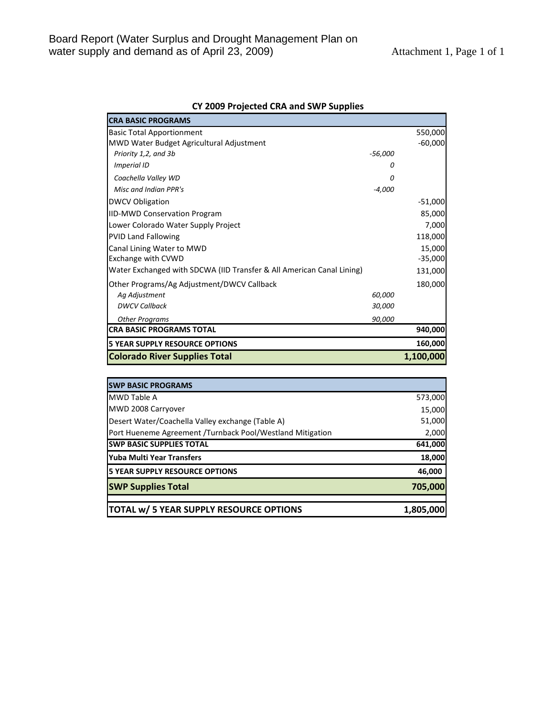| <b>CRA BASIC PROGRAMS</b>                                             |           |           |
|-----------------------------------------------------------------------|-----------|-----------|
| <b>Basic Total Apportionment</b>                                      |           | 550,000   |
| MWD Water Budget Agricultural Adjustment                              |           | $-60,000$ |
| Priority 1,2, and 3b                                                  | $-56,000$ |           |
| Imperial ID                                                           | 0         |           |
| Coachella Valley WD                                                   | Ω         |           |
| Misc and Indian PPR's                                                 | $-4,000$  |           |
| <b>DWCV Obligation</b>                                                |           | $-51,000$ |
| <b>IID-MWD Conservation Program</b>                                   |           | 85,000    |
| Lower Colorado Water Supply Project                                   |           | 7,000     |
| <b>PVID Land Fallowing</b>                                            |           | 118,000   |
| Canal Lining Water to MWD                                             |           | 15,000    |
| <b>Exchange with CVWD</b>                                             |           | $-35,000$ |
| Water Exchanged with SDCWA (IID Transfer & All American Canal Lining) |           | 131,000   |
| Other Programs/Ag Adjustment/DWCV Callback                            |           | 180,000   |
| Ag Adjustment                                                         | 60,000    |           |
| <b>DWCV Callback</b>                                                  | 30,000    |           |
| <b>Other Programs</b>                                                 | 90,000    |           |
| <b>CRA BASIC PROGRAMS TOTAL</b>                                       |           | 940,000   |
| <b>5 YEAR SUPPLY RESOURCE OPTIONS</b>                                 |           | 160,000   |
| <b>Colorado River Supplies Total</b>                                  |           | 1,100,000 |

### **CY 2009 Projected CRA and SWP Supplies**

| <b>SWP BASIC PROGRAMS</b>                                 |           |
|-----------------------------------------------------------|-----------|
| <b>MWD Table A</b>                                        | 573,000   |
| MWD 2008 Carryover                                        | 15,000    |
| Desert Water/Coachella Valley exchange (Table A)          | 51,000    |
| Port Hueneme Agreement /Turnback Pool/Westland Mitigation | 2,000     |
| <b>ISWP BASIC SUPPLIES TOTAL</b>                          | 641,000   |
| <b>IYuba Multi Year Transfers</b>                         | 18,000    |
| <b>IS YEAR SUPPLY RESOURCE OPTIONS</b>                    | 46,000    |
| <b>SWP Supplies Total</b>                                 | 705,000   |
| TOTAL w/ 5 YEAR SUPPLY RESOURCE OPTIONS                   | 1,805,000 |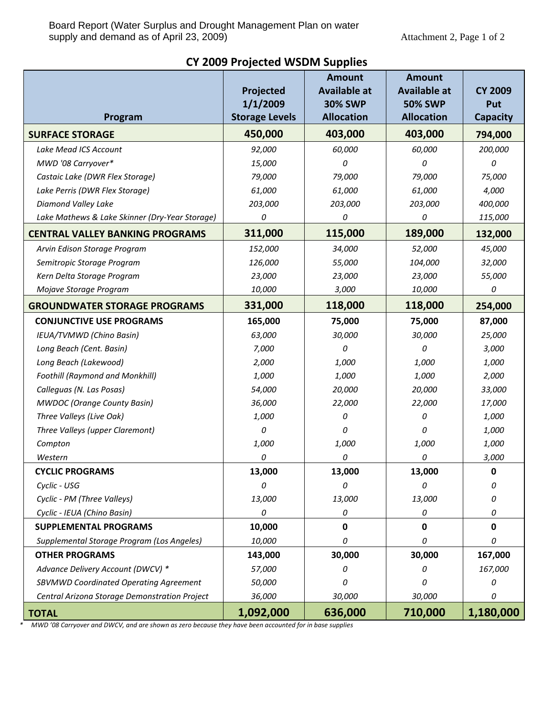| Program                                        | Projected<br>1/1/2009<br><b>Storage Levels</b> | <b>Amount</b><br><b>Available at</b><br><b>30% SWP</b><br><b>Allocation</b> | <b>Amount</b><br><b>Available at</b><br><b>50% SWP</b><br><b>Allocation</b> | <b>CY 2009</b><br>Put<br><b>Capacity</b> |
|------------------------------------------------|------------------------------------------------|-----------------------------------------------------------------------------|-----------------------------------------------------------------------------|------------------------------------------|
| <b>SURFACE STORAGE</b>                         | 450,000                                        | 403,000                                                                     | 403,000                                                                     | 794,000                                  |
| Lake Mead ICS Account                          | 92,000                                         | 60,000                                                                      | 60,000                                                                      | 200,000                                  |
| MWD '08 Carryover*                             | 15,000                                         | 0                                                                           | $\Omega$                                                                    | 0                                        |
| Castaic Lake (DWR Flex Storage)                | 79,000                                         | 79,000                                                                      | 79,000                                                                      | 75,000                                   |
| Lake Perris (DWR Flex Storage)                 | 61,000                                         | 61,000                                                                      | 61,000                                                                      | 4,000                                    |
| Diamond Valley Lake                            | 203,000                                        | 203,000                                                                     | 203,000                                                                     | 400,000                                  |
| Lake Mathews & Lake Skinner (Dry-Year Storage) | 0                                              | 0                                                                           | 0                                                                           | 115,000                                  |
| <b>CENTRAL VALLEY BANKING PROGRAMS</b>         | 311,000                                        | 115,000                                                                     | 189,000                                                                     | 132,000                                  |
| Arvin Edison Storage Program                   | 152,000                                        | 34,000                                                                      | 52,000                                                                      | 45,000                                   |
| Semitropic Storage Program                     | 126,000                                        | 55,000                                                                      | 104,000                                                                     | 32,000                                   |
| Kern Delta Storage Program                     | 23,000                                         | 23,000                                                                      | 23,000                                                                      | 55,000                                   |
| Mojave Storage Program                         | 10,000                                         | 3,000                                                                       | 10,000                                                                      | 0                                        |
| <b>GROUNDWATER STORAGE PROGRAMS</b>            | 331,000                                        | 118,000                                                                     | 118,000                                                                     | 254,000                                  |
| <b>CONJUNCTIVE USE PROGRAMS</b>                | 165,000                                        | 75,000                                                                      | 75,000                                                                      | 87,000                                   |
| IEUA/TVMWD (Chino Basin)                       | 63,000                                         | 30,000                                                                      | 30,000                                                                      | 25,000                                   |
| Long Beach (Cent. Basin)                       | 7,000                                          | 0                                                                           | 0                                                                           | 3,000                                    |
| Long Beach (Lakewood)                          | 2,000                                          | 1,000                                                                       | 1,000                                                                       | 1,000                                    |
| <b>Foothill (Raymond and Monkhill)</b>         | 1,000                                          | 1,000                                                                       | 1,000                                                                       | 2,000                                    |
| Calleguas (N. Las Posas)                       | 54,000                                         | 20,000                                                                      | 20,000                                                                      | 33,000                                   |
| <b>MWDOC</b> (Orange County Basin)             | 36,000                                         | 22,000                                                                      | 22,000                                                                      | 17,000                                   |
| Three Valleys (Live Oak)                       | 1,000                                          | 0                                                                           | 0                                                                           | 1,000                                    |
| Three Valleys (upper Claremont)                | 0                                              | 0                                                                           | 0                                                                           | 1,000                                    |
| Compton                                        | 1,000                                          | 1,000                                                                       | 1,000                                                                       | 1,000                                    |
| Western                                        | 0                                              | 0                                                                           | 0                                                                           | 3,000                                    |
| <b>CYCLIC PROGRAMS</b>                         | 13,000                                         | 13,000                                                                      | 13,000                                                                      | $\mathbf 0$                              |
| Cyclic - USG                                   | 0                                              | 0                                                                           | 0                                                                           | 0                                        |
| Cyclic - PM (Three Valleys)                    | 13,000                                         | 13,000                                                                      | 13,000                                                                      | 0                                        |
| Cyclic - IEUA (Chino Basin)                    | 0                                              | 0                                                                           | 0                                                                           | 0                                        |
| <b>SUPPLEMENTAL PROGRAMS</b>                   | 10,000                                         | 0                                                                           | 0                                                                           | 0                                        |
| Supplemental Storage Program (Los Angeles)     | 10,000                                         | 0                                                                           | 0                                                                           | 0                                        |
| <b>OTHER PROGRAMS</b>                          | 143,000                                        | 30,000                                                                      | 30,000                                                                      | 167,000                                  |
| Advance Delivery Account (DWCV) *              | 57,000                                         | Ω                                                                           | 0                                                                           | 167,000                                  |
| SBVMWD Coordinated Operating Agreement         | 50,000                                         | n                                                                           | 0                                                                           | 0                                        |
| Central Arizona Storage Demonstration Project  | 36,000                                         | 30,000                                                                      | 30,000                                                                      | 0                                        |
| <b>TOTAL</b>                                   | 1,092,000                                      | 636,000                                                                     | 710,000                                                                     | 1,180,000                                |

# **CY 2009 Projected WSDM Supplies**

\* MWD '08 Carryover and DWCV, and are shown as zero because they have been accounted for in base supplies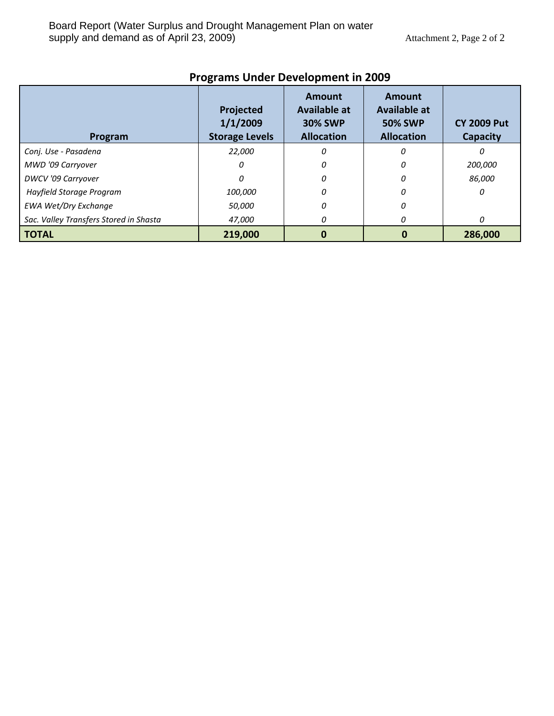| Program                                | Projected<br>1/1/2009<br><b>Storage Levels</b> | Amount<br><b>Available at</b><br><b>30% SWP</b><br><b>Allocation</b> | Amount<br><b>Available at</b><br><b>50% SWP</b><br><b>Allocation</b> | <b>CY 2009 Put</b><br>Capacity |
|----------------------------------------|------------------------------------------------|----------------------------------------------------------------------|----------------------------------------------------------------------|--------------------------------|
| Conj. Use - Pasadena                   | 22,000                                         | 0                                                                    | 0                                                                    | n                              |
| MWD '09 Carryover                      | 0                                              | 0                                                                    | 0                                                                    | 200,000                        |
| <b>DWCV</b> '09 Carryover              | 0                                              | 0                                                                    | 0                                                                    | 86,000                         |
| Hayfield Storage Program               | 100,000                                        |                                                                      | O                                                                    | 0                              |
| <b>EWA Wet/Dry Exchange</b>            | 50,000                                         | 0                                                                    | Ω                                                                    |                                |
| Sac. Valley Transfers Stored in Shasta | 47,000                                         | Ω                                                                    | n                                                                    | 0                              |
| <b>TOTAL</b>                           | 219,000                                        |                                                                      |                                                                      | 286,000                        |

# **Programs Under Development in 2009**